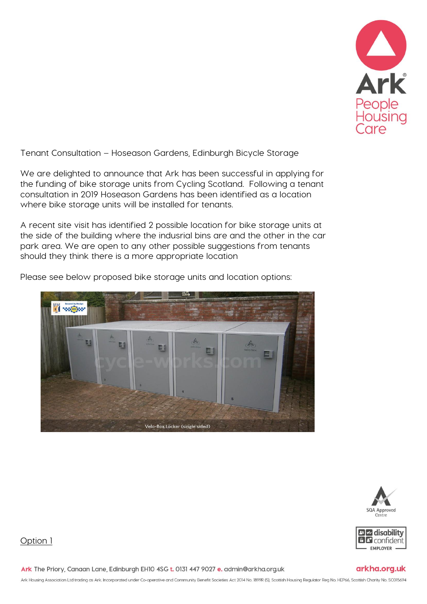

Tenant Consultation – Hoseason Gardens, Edinburgh Bicycle Storage

We are delighted to announce that Ark has been successful in applying for the funding of bike storage units from Cycling Scotland. Following a tenant consultation in 2019 Hoseason Gardens has been identified as a location where bike storage units will be installed for tenants.

A recent site visit has identified 2 possible location for bike storage units at the side of the building where the indusrial bins are and the other in the car park area. We are open to any other possible suggestions from tenants should they think there is a more appropriate location

Please see below proposed bike storage units and location options:







arkha.org.uk

## Option 1

Ark The Priory, Canaan Lane, Edinburgh EH10 4SG t. 0131 447 9027 e. admin@arkha.org.uk

Ark Housing Association Ltd trading as Ark. Incorporated under Co-operative and Community Benefit Societies Act 2014 No. 1899R (S), Scottish Housing Regulator Reg No. HEP66, Scottish Charity No. SCO15694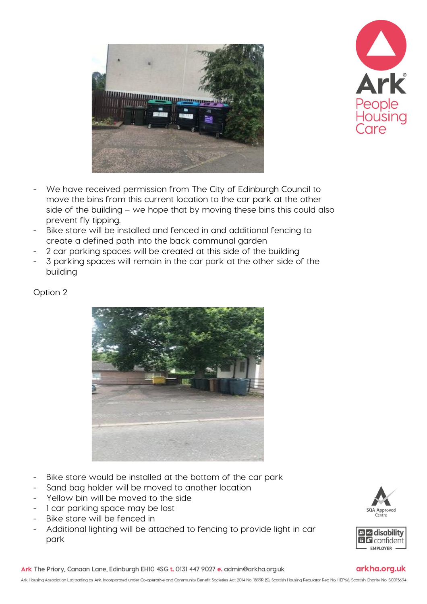



- We have received permission from The City of Edinburgh Council to move the bins from this current location to the car park at the other side of the building – we hope that by moving these bins this could also prevent fly tipping.
- Bike store will be installed and fenced in and additional fencing to create a defined path into the back communal garden
- 2 car parking spaces will be created at this side of the building
- 3 parking spaces will remain in the car park at the other side of the building

Option 2



- Bike store would be installed at the bottom of the car park
- Sand bag holder will be moved to another location
- Yellow bin will be moved to the side
- 1 car parking space may be lost
- Bike store will be fenced in
- Additional lighting will be attached to fencing to provide light in car park





## arkha.org.uk

Ark The Priory, Canaan Lane, Edinburgh EH10 4SG t. 0131 447 9027 e. admin@arkha.org.uk

Ark Housing Association Ltd trading as Ark. Incorporated under Co-operative and Community Benefit Societies Act 2014 No. 1899R (S), Scottish Housing Regulator Reg No. HEP66, Scottish Charity No. SCO15694